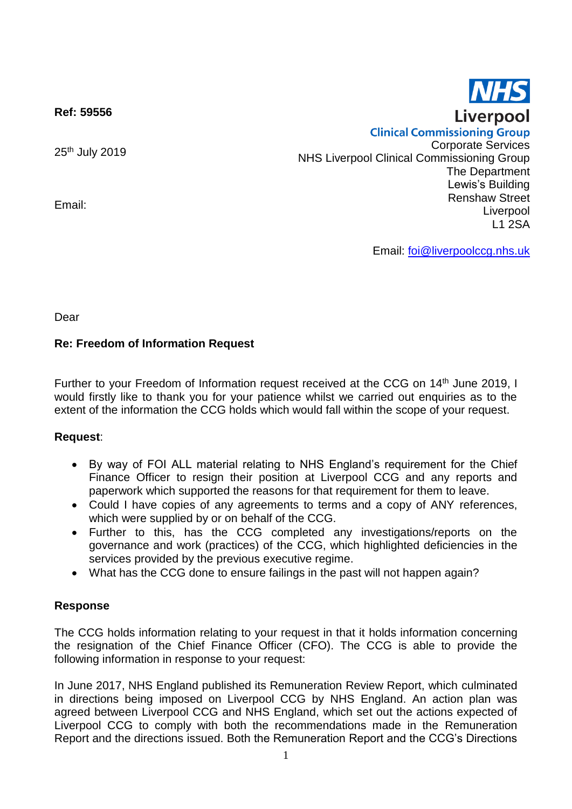

**Ref: 59556**

25th July 2019

Email:

**Clinical Commissioning Group** Corporate Services NHS Liverpool Clinical Commissioning Group The Department Lewis's Building Renshaw Street Liverpool L1 2SA

Email: [foi@liverpoolccg.nhs.uk](mailto:foi@liverpoolccg.nhs.uk)

Dear

# **Re: Freedom of Information Request**

Further to your Freedom of Information request received at the CCG on 14<sup>th</sup> June 2019, I would firstly like to thank you for your patience whilst we carried out enquiries as to the extent of the information the CCG holds which would fall within the scope of your request.

# **Request**:

- By way of FOI ALL material relating to NHS England's requirement for the Chief Finance Officer to resign their position at Liverpool CCG and any reports and paperwork which supported the reasons for that requirement for them to leave.
- Could I have copies of any agreements to terms and a copy of ANY references, which were supplied by or on behalf of the CCG.
- Further to this, has the CCG completed any investigations/reports on the governance and work (practices) of the CCG, which highlighted deficiencies in the services provided by the previous executive regime.
- What has the CCG done to ensure failings in the past will not happen again?

# **Response**

The CCG holds information relating to your request in that it holds information concerning the resignation of the Chief Finance Officer (CFO). The CCG is able to provide the following information in response to your request:

In June 2017, NHS England published its Remuneration Review Report, which culminated in directions being imposed on Liverpool CCG by NHS England. An action plan was agreed between Liverpool CCG and NHS England, which set out the actions expected of Liverpool CCG to comply with both the recommendations made in the Remuneration Report and the directions issued. Both the Remuneration Report and the CCG's Directions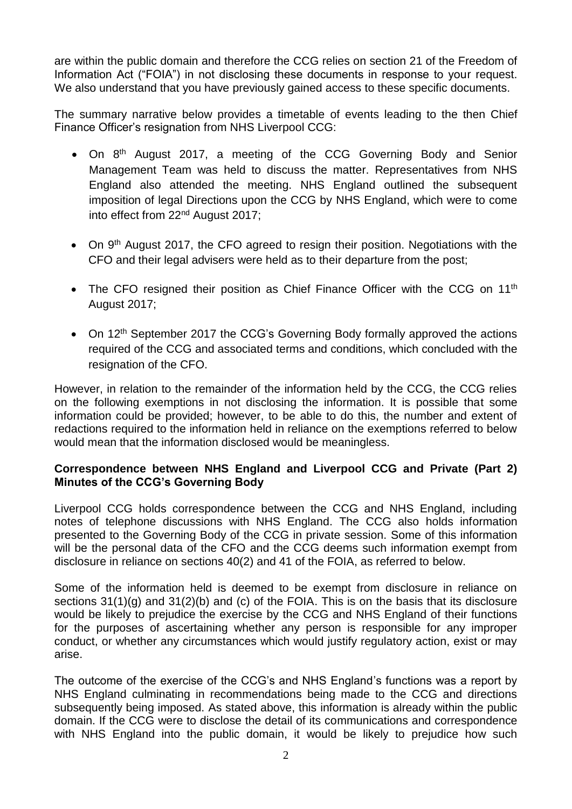are within the public domain and therefore the CCG relies on section 21 of the Freedom of Information Act ("FOIA") in not disclosing these documents in response to your request. We also understand that you have previously gained access to these specific documents.

The summary narrative below provides a timetable of events leading to the then Chief Finance Officer's resignation from NHS Liverpool CCG:

- On 8<sup>th</sup> August 2017, a meeting of the CCG Governing Body and Senior Management Team was held to discuss the matter. Representatives from NHS England also attended the meeting. NHS England outlined the subsequent imposition of legal Directions upon the CCG by NHS England, which were to come into effect from 22nd August 2017;
- On 9<sup>th</sup> August 2017, the CFO agreed to resign their position. Negotiations with the CFO and their legal advisers were held as to their departure from the post;
- The CFO resigned their position as Chief Finance Officer with the CCG on 11<sup>th</sup> August 2017;
- On 12<sup>th</sup> September 2017 the CCG's Governing Body formally approved the actions required of the CCG and associated terms and conditions, which concluded with the resignation of the CFO.

However, in relation to the remainder of the information held by the CCG, the CCG relies on the following exemptions in not disclosing the information. It is possible that some information could be provided; however, to be able to do this, the number and extent of redactions required to the information held in reliance on the exemptions referred to below would mean that the information disclosed would be meaningless.

# **Correspondence between NHS England and Liverpool CCG and Private (Part 2) Minutes of the CCG's Governing Body**

Liverpool CCG holds correspondence between the CCG and NHS England, including notes of telephone discussions with NHS England. The CCG also holds information presented to the Governing Body of the CCG in private session. Some of this information will be the personal data of the CFO and the CCG deems such information exempt from disclosure in reliance on sections 40(2) and 41 of the FOIA, as referred to below.

Some of the information held is deemed to be exempt from disclosure in reliance on sections 31(1)(g) and 31(2)(b) and (c) of the FOIA. This is on the basis that its disclosure would be likely to prejudice the exercise by the CCG and NHS England of their functions for the purposes of ascertaining whether any person is responsible for any improper conduct, or whether any circumstances which would justify regulatory action, exist or may arise.

The outcome of the exercise of the CCG's and NHS England's functions was a report by NHS England culminating in recommendations being made to the CCG and directions subsequently being imposed. As stated above, this information is already within the public domain. If the CCG were to disclose the detail of its communications and correspondence with NHS England into the public domain, it would be likely to prejudice how such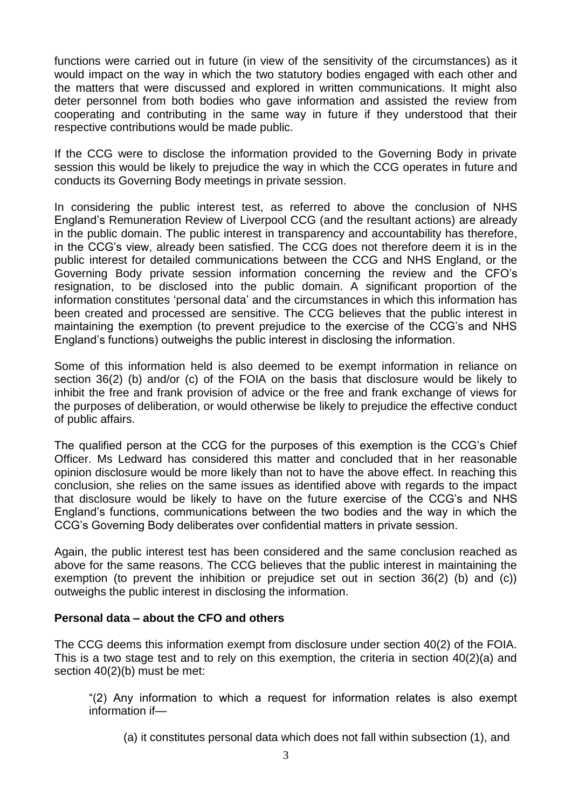functions were carried out in future (in view of the sensitivity of the circumstances) as it would impact on the way in which the two statutory bodies engaged with each other and the matters that were discussed and explored in written communications. It might also deter personnel from both bodies who gave information and assisted the review from cooperating and contributing in the same way in future if they understood that their respective contributions would be made public.

If the CCG were to disclose the information provided to the Governing Body in private session this would be likely to prejudice the way in which the CCG operates in future and conducts its Governing Body meetings in private session.

In considering the public interest test, as referred to above the conclusion of NHS England's Remuneration Review of Liverpool CCG (and the resultant actions) are already in the public domain. The public interest in transparency and accountability has therefore, in the CCG's view, already been satisfied. The CCG does not therefore deem it is in the public interest for detailed communications between the CCG and NHS England, or the Governing Body private session information concerning the review and the CFO's resignation, to be disclosed into the public domain. A significant proportion of the information constitutes 'personal data' and the circumstances in which this information has been created and processed are sensitive. The CCG believes that the public interest in maintaining the exemption (to prevent prejudice to the exercise of the CCG's and NHS England's functions) outweighs the public interest in disclosing the information.

Some of this information held is also deemed to be exempt information in reliance on section 36(2) (b) and/or (c) of the FOIA on the basis that disclosure would be likely to inhibit the free and frank provision of advice or the free and frank exchange of views for the purposes of deliberation, or would otherwise be likely to prejudice the effective conduct of public affairs.

The qualified person at the CCG for the purposes of this exemption is the CCG's Chief Officer. Ms Ledward has considered this matter and concluded that in her reasonable opinion disclosure would be more likely than not to have the above effect. In reaching this conclusion, she relies on the same issues as identified above with regards to the impact that disclosure would be likely to have on the future exercise of the CCG's and NHS England's functions, communications between the two bodies and the way in which the CCG's Governing Body deliberates over confidential matters in private session.

Again, the public interest test has been considered and the same conclusion reached as above for the same reasons. The CCG believes that the public interest in maintaining the exemption (to prevent the inhibition or prejudice set out in section 36(2) (b) and (c)) outweighs the public interest in disclosing the information.

# **Personal data – about the CFO and others**

The CCG deems this information exempt from disclosure under section 40(2) of the FOIA. This is a two stage test and to rely on this exemption, the criteria in section 40(2)(a) and section 40(2)(b) must be met:

"(2) Any information to which a request for information relates is also exempt information if—

(a) it constitutes personal data which does not fall within subsection (1), and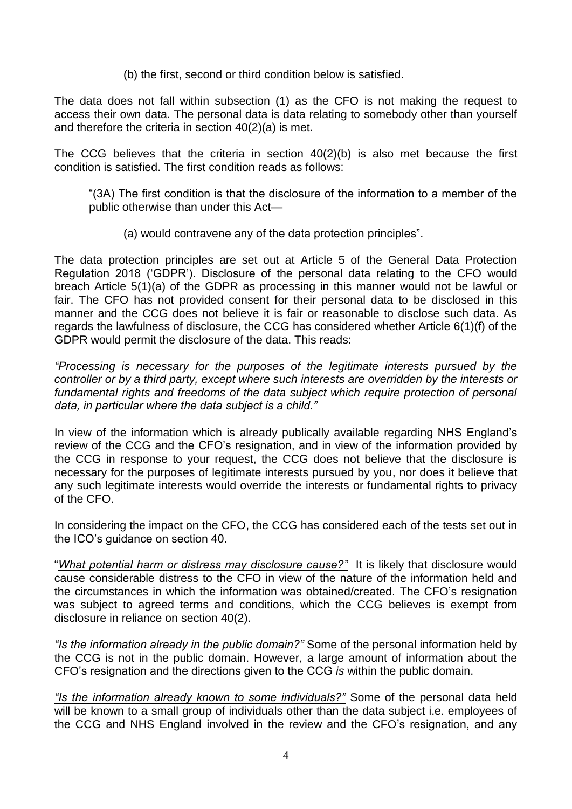(b) the first, second or third condition below is satisfied.

The data does not fall within subsection (1) as the CFO is not making the request to access their own data. The personal data is data relating to somebody other than yourself and therefore the criteria in section 40(2)(a) is met.

The CCG believes that the criteria in section 40(2)(b) is also met because the first condition is satisfied. The first condition reads as follows:

"(3A) The first condition is that the disclosure of the information to a member of the public otherwise than under this Act—

(a) would contravene any of the data protection principles".

The data protection principles are set out at Article 5 of the General Data Protection Regulation 2018 ('GDPR'). Disclosure of the personal data relating to the CFO would breach Article 5(1)(a) of the GDPR as processing in this manner would not be lawful or fair. The CFO has not provided consent for their personal data to be disclosed in this manner and the CCG does not believe it is fair or reasonable to disclose such data. As regards the lawfulness of disclosure, the CCG has considered whether Article 6(1)(f) of the GDPR would permit the disclosure of the data. This reads:

*"Processing is necessary for the purposes of the legitimate interests pursued by the controller or by a third party, except where such interests are overridden by the interests or*  fundamental rights and freedoms of the data subject which require protection of personal *data, in particular where the data subject is a child."*

In view of the information which is already publically available regarding NHS England's review of the CCG and the CFO's resignation, and in view of the information provided by the CCG in response to your request, the CCG does not believe that the disclosure is necessary for the purposes of legitimate interests pursued by you, nor does it believe that any such legitimate interests would override the interests or fundamental rights to privacy of the CFO.

In considering the impact on the CFO, the CCG has considered each of the tests set out in the ICO's guidance on section 40.

"*What potential harm or distress may disclosure cause?"* It is likely that disclosure would cause considerable distress to the CFO in view of the nature of the information held and the circumstances in which the information was obtained/created. The CFO's resignation was subject to agreed terms and conditions, which the CCG believes is exempt from disclosure in reliance on section 40(2).

*"Is the information already in the public domain?"* Some of the personal information held by the CCG is not in the public domain. However, a large amount of information about the CFO's resignation and the directions given to the CCG *is* within the public domain.

*"Is the information already known to some individuals?"* Some of the personal data held will be known to a small group of individuals other than the data subject i.e. employees of the CCG and NHS England involved in the review and the CFO's resignation, and any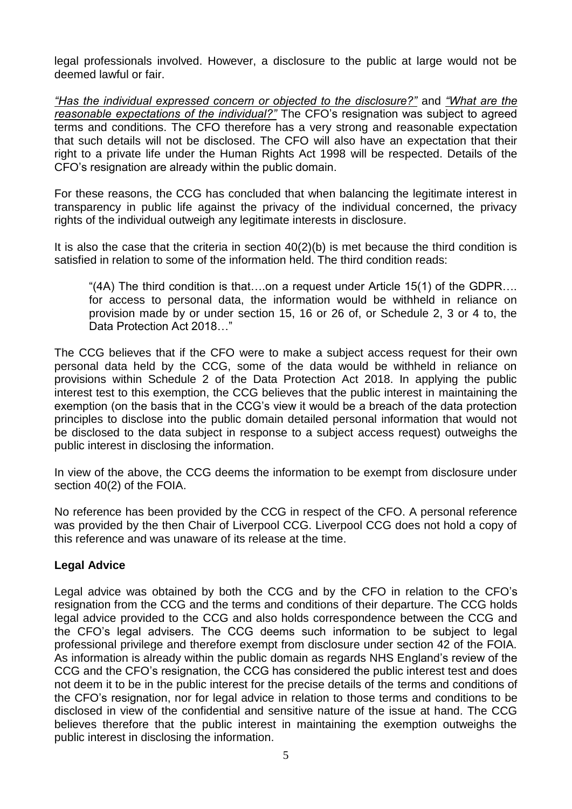legal professionals involved. However, a disclosure to the public at large would not be deemed lawful or fair.

*"Has the individual expressed concern or objected to the disclosure?"* and *"What are the reasonable expectations of the individual?"* The CFO's resignation was subject to agreed terms and conditions. The CFO therefore has a very strong and reasonable expectation that such details will not be disclosed. The CFO will also have an expectation that their right to a private life under the Human Rights Act 1998 will be respected. Details of the CFO's resignation are already within the public domain.

For these reasons, the CCG has concluded that when balancing the legitimate interest in transparency in public life against the privacy of the individual concerned, the privacy rights of the individual outweigh any legitimate interests in disclosure.

It is also the case that the criteria in section  $40(2)(b)$  is met because the third condition is satisfied in relation to some of the information held. The third condition reads:

"(4A) The third condition is that….on a request under Article 15(1) of the GDPR…. for access to personal data, the information would be withheld in reliance on provision made by or under section 15, 16 or 26 of, or Schedule 2, 3 or 4 to, the Data Protection Act 2018…"

The CCG believes that if the CFO were to make a subject access request for their own personal data held by the CCG, some of the data would be withheld in reliance on provisions within Schedule 2 of the Data Protection Act 2018. In applying the public interest test to this exemption, the CCG believes that the public interest in maintaining the exemption (on the basis that in the CCG's view it would be a breach of the data protection principles to disclose into the public domain detailed personal information that would not be disclosed to the data subject in response to a subject access request) outweighs the public interest in disclosing the information.

In view of the above, the CCG deems the information to be exempt from disclosure under section 40(2) of the FOIA.

No reference has been provided by the CCG in respect of the CFO. A personal reference was provided by the then Chair of Liverpool CCG. Liverpool CCG does not hold a copy of this reference and was unaware of its release at the time.

# **Legal Advice**

Legal advice was obtained by both the CCG and by the CFO in relation to the CFO's resignation from the CCG and the terms and conditions of their departure. The CCG holds legal advice provided to the CCG and also holds correspondence between the CCG and the CFO's legal advisers. The CCG deems such information to be subject to legal professional privilege and therefore exempt from disclosure under section 42 of the FOIA. As information is already within the public domain as regards NHS England's review of the CCG and the CFO's resignation, the CCG has considered the public interest test and does not deem it to be in the public interest for the precise details of the terms and conditions of the CFO's resignation, nor for legal advice in relation to those terms and conditions to be disclosed in view of the confidential and sensitive nature of the issue at hand. The CCG believes therefore that the public interest in maintaining the exemption outweighs the public interest in disclosing the information.